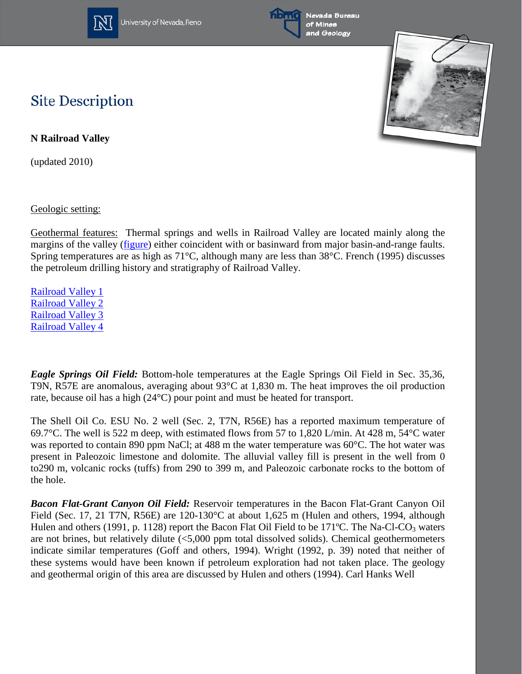

University of Nevada, Reno



Nevada Bureau of Mines and Geology



## **Site Description**

**N Railroad Valley**

(updated 2010)

Geologic setting:

Geothermal features: Thermal springs and wells in Railroad Valley are located mainly along the margins of the valley [\(figure\)](http://www.nbmg.unr.edu/geothermal/figures/fig34.pdf) either coincident with or basinward from major basin-and-range faults. Spring temperatures are as high as 71°C, although many are less than 38°C. French (1995) discusses the petroleum drilling history and stratigraphy of Railroad Valley.

[Railroad Valley 1](http://www.nbmg.unr.edu/geothermal/detailedmaps/Railroad%20Valley%201.pdf) [Railroad Valley 2](http://www.nbmg.unr.edu/geothermal/detailedmaps/Railroad%20Valley%202.pdf) [Railroad Valley 3](http://www.nbmg.unr.edu/geothermal/detailedmaps/Railroad%20Valley%203.pdf) [Railroad Valley 4](http://www.nbmg.unr.edu/geothermal/detailedmaps/Railroad%20Valley%204.pdf)

*Eagle Springs Oil Field:* Bottom-hole temperatures at the Eagle Springs Oil Field in Sec. 35,36, T9N, R57E are anomalous, averaging about 93°C at 1,830 m. The heat improves the oil production rate, because oil has a high (24°C) pour point and must be heated for transport.

The Shell Oil Co. ESU No. 2 well (Sec. 2, T7N, R56E) has a reported maximum temperature of 69.7°C. The well is 522 m deep, with estimated flows from 57 to 1,820 L/min. At 428 m, 54°C water was reported to contain 890 ppm NaCl; at 488 m the water temperature was 60°C. The hot water was present in Paleozoic limestone and dolomite. The alluvial valley fill is present in the well from 0 to290 m, volcanic rocks (tuffs) from 290 to 399 m, and Paleozoic carbonate rocks to the bottom of the hole.

*Bacon Flat-Grant Canyon Oil Field:* Reservoir temperatures in the Bacon Flat-Grant Canyon Oil Field (Sec. 17, 21 T7N, R56E) are 120-130 °C at about 1,625 m (Hulen and others, 1994, although Hulen and others (1991, p. 1128) report the Bacon Flat Oil Field to be 171 $^{\circ}$ C. The Na-Cl-CO<sub>3</sub> waters are not brines, but relatively dilute (<5,000 ppm total dissolved solids). Chemical geothermometers indicate similar temperatures (Goff and others, 1994). Wright (1992, p. 39) noted that neither of these systems would have been known if petroleum exploration had not taken place. The geology and geothermal origin of this area are discussed by Hulen and others (1994). Carl Hanks Well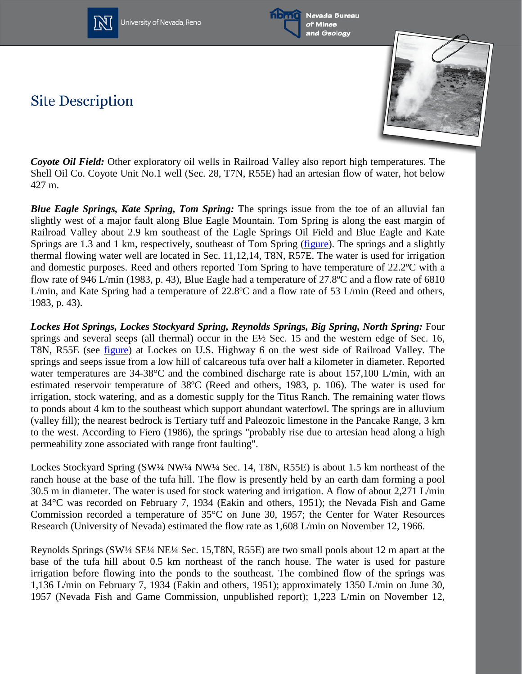

University of Nevada, Reno



**Site Description** 



*Coyote Oil Field:* Other exploratory oil wells in Railroad Valley also report high temperatures. The Shell Oil Co. Coyote Unit No.1 well (Sec. 28, T7N, R55E) had an artesian flow of water, hot below 427 m.

*Blue Eagle Springs, Kate Spring, Tom Spring:* The springs issue from the toe of an alluvial fan slightly west of a major fault along Blue Eagle Mountain. Tom Spring is along the east margin of Railroad Valley about 2.9 km southeast of the Eagle Springs Oil Field and Blue Eagle and Kate Springs are 1.3 and 1 km, respectively, southeast of Tom Spring [\(figure\)](http://www.nbmg.unr.edu/geothermal/figures/fig34.pdf). The springs and a slightly thermal flowing water well are located in Sec. 11,12,14, T8N, R57E. The water is used for irrigation and domestic purposes. Reed and others reported Tom Spring to have temperature of 22.2ºC with a flow rate of 946 L/min (1983, p. 43), Blue Eagle had a temperature of 27.8ºC and a flow rate of 6810 L/min, and Kate Spring had a temperature of 22.8ºC and a flow rate of 53 L/min (Reed and others, 1983, p. 43).

*Lockes Hot Springs, Lockes Stockyard Spring, Reynolds Springs, Big Spring, North Spring:* Four springs and several seeps (all thermal) occur in the E½ Sec. 15 and the western edge of Sec. 16, T8N, R55E (see [figure\)](http://www.nbmg.unr.edu/geothermal/figures/fig35.pdf) at Lockes on U.S. Highway 6 on the west side of Railroad Valley. The springs and seeps issue from a low hill of calcareous tufa over half a kilometer in diameter. Reported water temperatures are 34-38°C and the combined discharge rate is about 157,100 L/min, with an estimated reservoir temperature of 38ºC (Reed and others, 1983, p. 106). The water is used for irrigation, stock watering, and as a domestic supply for the Titus Ranch. The remaining water flows to ponds about 4 km to the southeast which support abundant waterfowl. The springs are in alluvium (valley fill); the nearest bedrock is Tertiary tuff and Paleozoic limestone in the Pancake Range, 3 km to the west. According to Fiero (1986), the springs "probably rise due to artesian head along a high permeability zone associated with range front faulting".

Lockes Stockyard Spring (SW¼ NW¼ NW¼ Sec. 14, T8N, R55E) is about 1.5 km northeast of the ranch house at the base of the tufa hill. The flow is presently held by an earth dam forming a pool 30.5 m in diameter. The water is used for stock watering and irrigation. A flow of about 2,271 L/min at 34°C was recorded on February 7, 1934 (Eakin and others, 1951); the Nevada Fish and Game Commission recorded a temperature of 35°C on June 30, 1957; the Center for Water Resources Research (University of Nevada) estimated the flow rate as 1,608 L/min on November 12, 1966.

Reynolds Springs (SW¼ SE¼ NE¼ Sec. 15,T8N, R55E) are two small pools about 12 m apart at the base of the tufa hill about 0.5 km northeast of the ranch house. The water is used for pasture irrigation before flowing into the ponds to the southeast. The combined flow of the springs was 1,136 L/min on February 7, 1934 (Eakin and others, 1951); approximately 1350 L/min on June 30, 1957 (Nevada Fish and Game Commission, unpublished report); 1,223 L/min on November 12,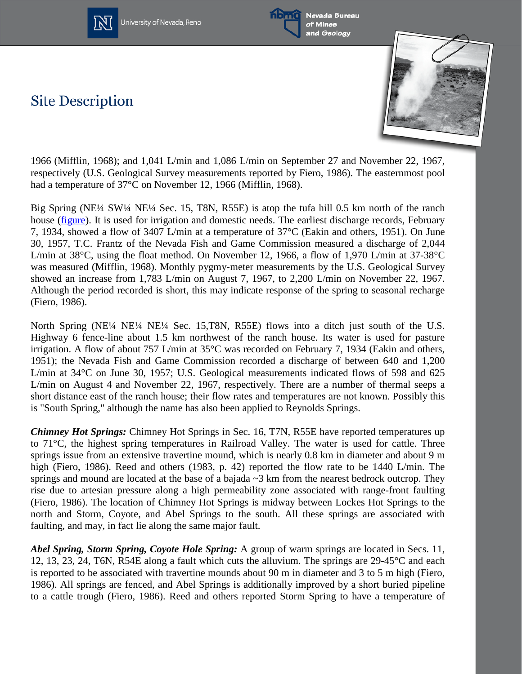

University of Nevada, Reno



Nevada Bureau of Mines and Geology

## **Site Description**



1966 (Mifflin, 1968); and 1,041 L/min and 1,086 L/min on September 27 and November 22, 1967, respectively (U.S. Geological Survey measurements reported by Fiero, 1986). The easternmost pool had a temperature of 37°C on November 12, 1966 (Mifflin, 1968).

Big Spring (NE¼ SW¼ NE¼ Sec. 15, T8N, R55E) is atop the tufa hill 0.5 km north of the ranch house (*figure*). It is used for irrigation and domestic needs. The earliest discharge records, February 7, 1934, showed a flow of 3407 L/min at a temperature of 37°C (Eakin and others, 1951). On June 30, 1957, T.C. Frantz of the Nevada Fish and Game Commission measured a discharge of 2,044 L/min at 38°C, using the float method. On November 12, 1966, a flow of 1,970 L/min at 37-38°C was measured (Mifflin, 1968). Monthly pygmy-meter measurements by the U.S. Geological Survey showed an increase from 1,783 L/min on August 7, 1967, to 2,200 L/min on November 22, 1967. Although the period recorded is short, this may indicate response of the spring to seasonal recharge (Fiero, 1986).

North Spring (NE¼ NE¼ NE¼ Sec. 15,T8N, R55E) flows into a ditch just south of the U.S. Highway 6 fence-line about 1.5 km northwest of the ranch house. Its water is used for pasture irrigation. A flow of about 757 L/min at 35°C was recorded on February 7, 1934 (Eakin and others, 1951); the Nevada Fish and Game Commission recorded a discharge of between 640 and 1,200 L/min at 34°C on June 30, 1957; U.S. Geological measurements indicated flows of 598 and 625 L/min on August 4 and November 22, 1967, respectively. There are a number of thermal seeps a short distance east of the ranch house; their flow rates and temperatures are not known. Possibly this is "South Spring," although the name has also been applied to Reynolds Springs.

*Chimney Hot Springs:* Chimney Hot Springs in Sec. 16, T7N, R55E have reported temperatures up to 71°C, the highest spring temperatures in Railroad Valley. The water is used for cattle. Three springs issue from an extensive travertine mound, which is nearly 0.8 km in diameter and about 9 m high (Fiero, 1986). Reed and others (1983, p. 42) reported the flow rate to be 1440 L/min. The springs and mound are located at the base of a bajada  $\sim$ 3 km from the nearest bedrock outcrop. They rise due to artesian pressure along a high permeability zone associated with range-front faulting (Fiero, 1986). The location of Chimney Hot Springs is midway between Lockes Hot Springs to the north and Storm, Coyote, and Abel Springs to the south. All these springs are associated with faulting, and may, in fact lie along the same major fault.

*Abel Spring, Storm Spring, Coyote Hole Spring:* A group of warm springs are located in Secs. 11, 12, 13, 23, 24, T6N, R54E along a fault which cuts the alluvium. The springs are 29-45°C and each is reported to be associated with travertine mounds about 90 m in diameter and 3 to 5 m high (Fiero, 1986). All springs are fenced, and Abel Springs is additionally improved by a short buried pipeline to a cattle trough (Fiero, 1986). Reed and others reported Storm Spring to have a temperature of